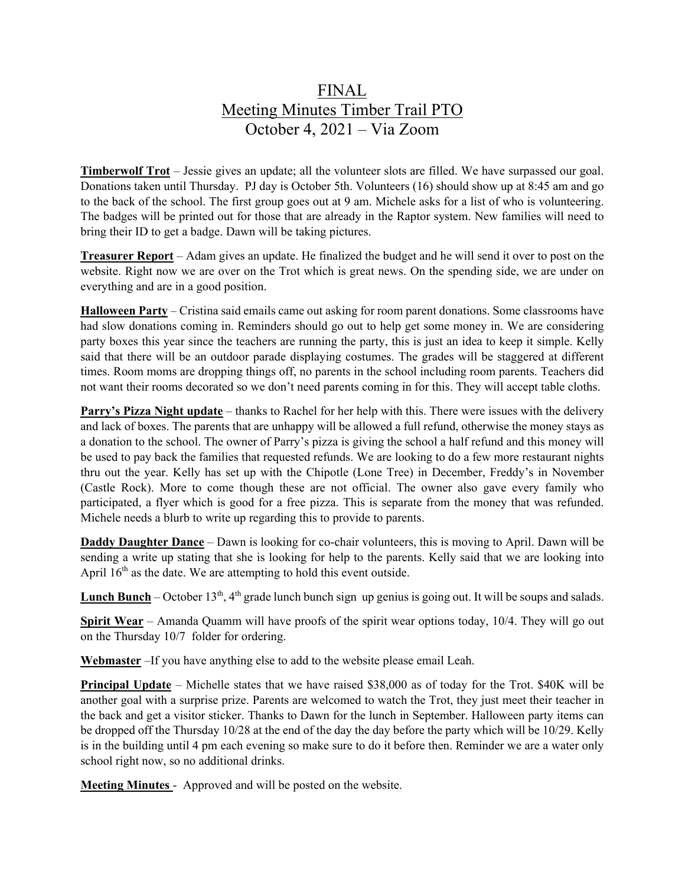## FINAL Meeting Minutes Timber Trail PTO October 4, 2021 – Via Zoom

**Timberwolf Trot** – Jessie gives an update; all the volunteer slots are filled. We have surpassed our goal. Donations taken until Thursday. PJ day is October 5th. Volunteers (16) should show up at 8:45 am and go to the back of the school. The first group goes out at 9 am. Michele asks for a list of who is volunteering. The badges will be printed out for those that are already in the Raptor system. New families will need to bring their ID to get a badge. Dawn will be taking pictures.

**Treasurer Report** – Adam gives an update. He finalized the budget and he will send it over to post on the website. Right now we are over on the Trot which is great news. On the spending side, we are under on everything and are in a good position.

**Halloween Party** – Cristina said emails came out asking for room parent donations. Some classrooms have had slow donations coming in. Reminders should go out to help get some money in. We are considering party boxes this year since the teachers are running the party, this is just an idea to keep it simple. Kelly said that there will be an outdoor parade displaying costumes. The grades will be staggered at different times. Room moms are dropping things off, no parents in the school including room parents. Teachers did not want their rooms decorated so we don't need parents coming in for this. They will accept table cloths.

**Parry's Pizza Night update** – thanks to Rachel for her help with this. There were issues with the delivery and lack of boxes. The parents that are unhappy will be allowed a full refund, otherwise the money stays as a donation to the school. The owner of Parry's pizza is giving the school a half refund and this money will be used to pay back the families that requested refunds. We are looking to do a few more restaurant nights thru out the year. Kelly has set up with the Chipotle (Lone Tree) in December, Freddy's in November (Castle Rock). More to come though these are not official. The owner also gave every family who participated, a flyer which is good for a free pizza. This is separate from the money that was refunded. Michele needs a blurb to write up regarding this to provide to parents.

**Daddy Daughter Dance** – Dawn is looking for co-chair volunteers, this is moving to April. Dawn will be sending a write up stating that she is looking for help to the parents. Kelly said that we are looking into April  $16<sup>th</sup>$  as the date. We are attempting to hold this event outside.

**Lunch Bunch** – October  $13<sup>th</sup>$ ,  $4<sup>th</sup>$  grade lunch bunch sign up genius is going out. It will be soups and salads.

**Spirit Wear** – Amanda Quamm will have proofs of the spirit wear options today, 10/4. They will go out on the Thursday 10/7 folder for ordering.

**Webmaster** –If you have anything else to add to the website please email Leah.

**Principal Update** – Michelle states that we have raised \$38,000 as of today for the Trot. \$40K will be another goal with a surprise prize. Parents are welcomed to watch the Trot, they just meet their teacher in the back and get a visitor sticker. Thanks to Dawn for the lunch in September. Halloween party items can be dropped off the Thursday 10/28 at the end of the day the day before the party which will be 10/29. Kelly is in the building until 4 pm each evening so make sure to do it before then. Reminder we are a water only school right now, so no additional drinks.

**Meeting Minutes** - Approved and will be posted on the website.